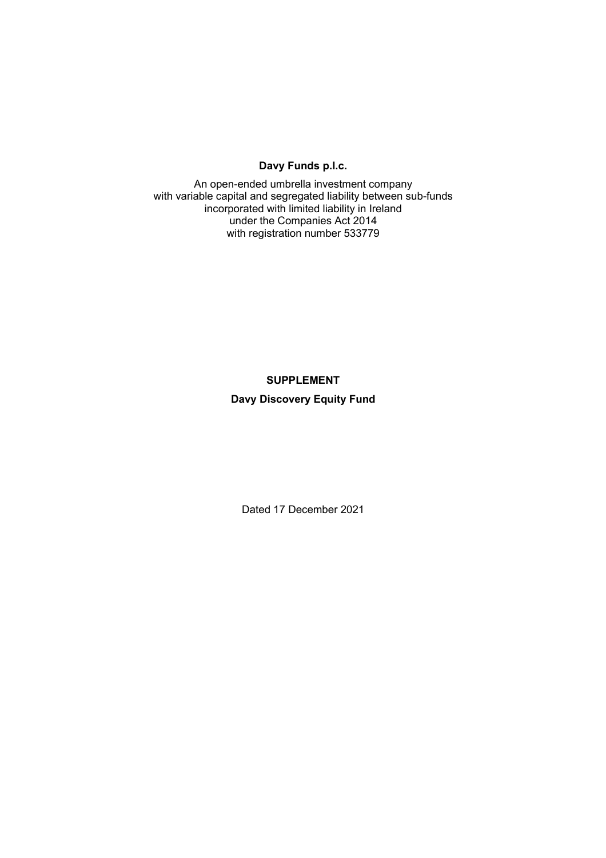### **Davy Funds p.l.c.**

An open-ended umbrella investment company with variable capital and segregated liability between sub-funds incorporated with limited liability in Ireland under the Companies Act 2014 with registration number 533779

# **SUPPLEMENT Davy Discovery Equity Fund**

Dated 17 December 2021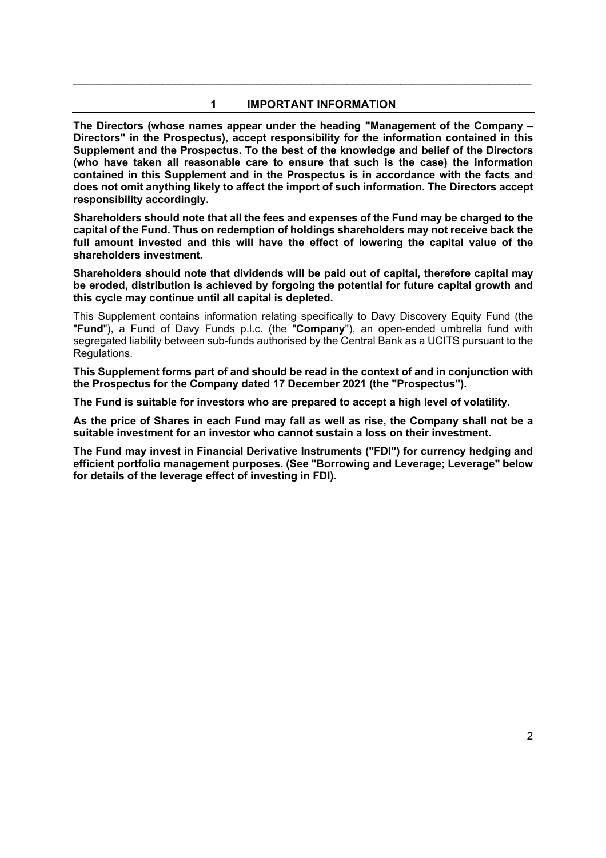### **1 IMPORTANT INFORMATION**

\_\_\_\_\_\_\_\_\_\_\_\_\_\_\_\_\_\_\_\_\_\_\_\_\_\_\_\_\_\_\_\_\_\_\_\_\_\_\_\_\_\_\_\_\_\_\_\_\_\_\_\_\_\_\_\_\_\_\_\_\_\_\_\_\_\_\_\_\_\_\_\_\_\_\_\_\_

**The Directors (whose names appear under the heading "Management of the Company – Directors" in the Prospectus), accept responsibility for the information contained in this Supplement and the Prospectus. To the best of the knowledge and belief of the Directors (who have taken all reasonable care to ensure that such is the case) the information contained in this Supplement and in the Prospectus is in accordance with the facts and does not omit anything likely to affect the import of such information. The Directors accept responsibility accordingly.** 

**Shareholders should note that all the fees and expenses of the Fund may be charged to the capital of the Fund. Thus on redemption of holdings shareholders may not receive back the full amount invested and this will have the effect of lowering the capital value of the shareholders investment.** 

**Shareholders should note that dividends will be paid out of capital, therefore capital may be eroded, distribution is achieved by forgoing the potential for future capital growth and this cycle may continue until all capital is depleted.** 

This Supplement contains information relating specifically to Davy Discovery Equity Fund (the "**Fund**"), a Fund of Davy Funds p.l.c. (the "**Company**"), an open-ended umbrella fund with segregated liability between sub-funds authorised by the Central Bank as a UCITS pursuant to the Regulations.

**This Supplement forms part of and should be read in the context of and in conjunction with the Prospectus for the Company dated 17 December 2021 (the "Prospectus").** 

**The Fund is suitable for investors who are prepared to accept a high level of volatility.** 

**As the price of Shares in each Fund may fall as well as rise, the Company shall not be a suitable investment for an investor who cannot sustain a loss on their investment.** 

**The Fund may invest in Financial Derivative Instruments ("FDI") for currency hedging and efficient portfolio management purposes. (See "Borrowing and Leverage; Leverage" below for details of the leverage effect of investing in FDI).**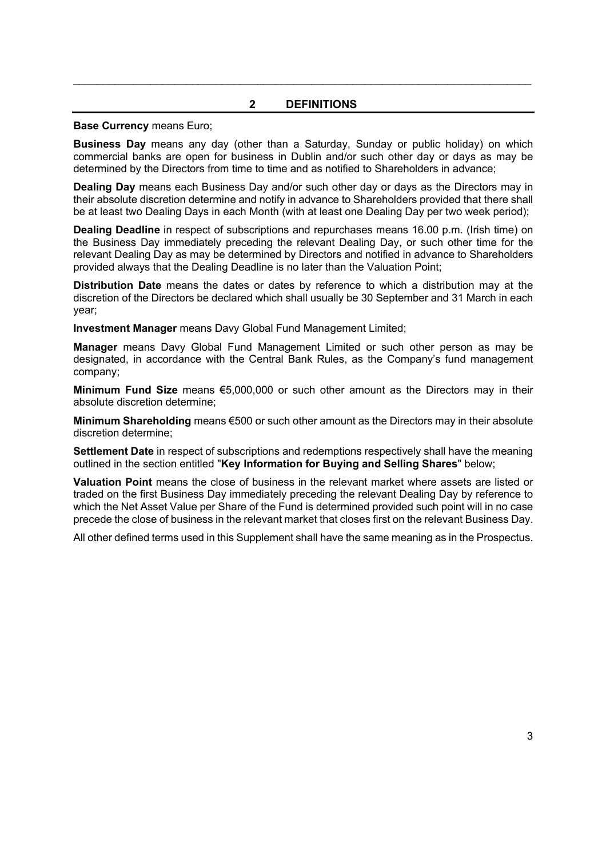### **2 DEFINITIONS**

\_\_\_\_\_\_\_\_\_\_\_\_\_\_\_\_\_\_\_\_\_\_\_\_\_\_\_\_\_\_\_\_\_\_\_\_\_\_\_\_\_\_\_\_\_\_\_\_\_\_\_\_\_\_\_\_\_\_\_\_\_\_\_\_\_\_\_\_\_\_\_\_\_\_\_\_\_

#### **Base Currency** means Euro;

**Business Day** means any day (other than a Saturday, Sunday or public holiday) on which commercial banks are open for business in Dublin and/or such other day or days as may be determined by the Directors from time to time and as notified to Shareholders in advance;

**Dealing Day** means each Business Day and/or such other day or days as the Directors may in their absolute discretion determine and notify in advance to Shareholders provided that there shall be at least two Dealing Days in each Month (with at least one Dealing Day per two week period);

**Dealing Deadline** in respect of subscriptions and repurchases means 16.00 p.m. (Irish time) on the Business Day immediately preceding the relevant Dealing Day, or such other time for the relevant Dealing Day as may be determined by Directors and notified in advance to Shareholders provided always that the Dealing Deadline is no later than the Valuation Point;

**Distribution Date** means the dates or dates by reference to which a distribution may at the discretion of the Directors be declared which shall usually be 30 September and 31 March in each year;

**Investment Manager** means Davy Global Fund Management Limited;

**Manager** means Davy Global Fund Management Limited or such other person as may be designated, in accordance with the Central Bank Rules, as the Company's fund management company;

**Minimum Fund Size** means €5,000,000 or such other amount as the Directors may in their absolute discretion determine;

**Minimum Shareholding** means €500 or such other amount as the Directors may in their absolute discretion determine;

**Settlement Date** in respect of subscriptions and redemptions respectively shall have the meaning outlined in the section entitled "**Key Information for Buying and Selling Shares**" below;

**Valuation Point** means the close of business in the relevant market where assets are listed or traded on the first Business Day immediately preceding the relevant Dealing Day by reference to which the Net Asset Value per Share of the Fund is determined provided such point will in no case precede the close of business in the relevant market that closes first on the relevant Business Day.

All other defined terms used in this Supplement shall have the same meaning as in the Prospectus.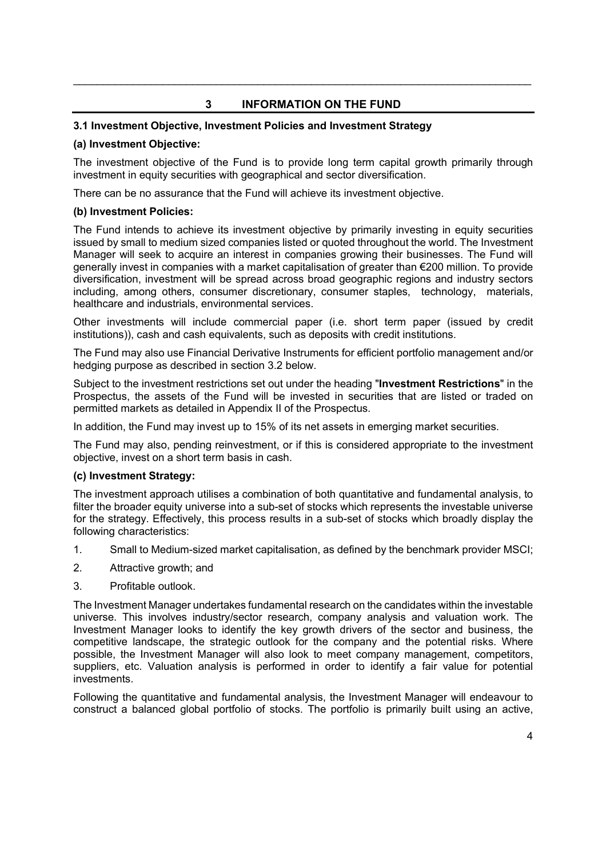# **3 INFORMATION ON THE FUND**

\_\_\_\_\_\_\_\_\_\_\_\_\_\_\_\_\_\_\_\_\_\_\_\_\_\_\_\_\_\_\_\_\_\_\_\_\_\_\_\_\_\_\_\_\_\_\_\_\_\_\_\_\_\_\_\_\_\_\_\_\_\_\_\_\_\_\_\_\_\_\_\_\_\_\_\_\_

### **3.1 Investment Objective, Investment Policies and Investment Strategy**

### **(a) Investment Objective:**

The investment objective of the Fund is to provide long term capital growth primarily through investment in equity securities with geographical and sector diversification.

There can be no assurance that the Fund will achieve its investment objective.

### **(b) Investment Policies:**

The Fund intends to achieve its investment objective by primarily investing in equity securities issued by small to medium sized companies listed or quoted throughout the world. The Investment Manager will seek to acquire an interest in companies growing their businesses. The Fund will generally invest in companies with a market capitalisation of greater than €200 million. To provide diversification, investment will be spread across broad geographic regions and industry sectors including, among others, consumer discretionary, consumer staples, technology, materials, healthcare and industrials, environmental services.

Other investments will include commercial paper (i.e. short term paper (issued by credit institutions)), cash and cash equivalents, such as deposits with credit institutions.

The Fund may also use Financial Derivative Instruments for efficient portfolio management and/or hedging purpose as described in section 3.2 below.

Subject to the investment restrictions set out under the heading "**Investment Restrictions**" in the Prospectus, the assets of the Fund will be invested in securities that are listed or traded on permitted markets as detailed in Appendix II of the Prospectus.

In addition, the Fund may invest up to 15% of its net assets in emerging market securities.

The Fund may also, pending reinvestment, or if this is considered appropriate to the investment objective, invest on a short term basis in cash.

### **(c) Investment Strategy:**

The investment approach utilises a combination of both quantitative and fundamental analysis, to filter the broader equity universe into a sub-set of stocks which represents the investable universe for the strategy. Effectively, this process results in a sub-set of stocks which broadly display the following characteristics:

- 1. Small to Medium-sized market capitalisation, as defined by the benchmark provider MSCI;
- 2. Attractive growth; and
- 3. Profitable outlook.

The Investment Manager undertakes fundamental research on the candidates within the investable universe. This involves industry/sector research, company analysis and valuation work. The Investment Manager looks to identify the key growth drivers of the sector and business, the competitive landscape, the strategic outlook for the company and the potential risks. Where possible, the Investment Manager will also look to meet company management, competitors, suppliers, etc. Valuation analysis is performed in order to identify a fair value for potential investments.

Following the quantitative and fundamental analysis, the Investment Manager will endeavour to construct a balanced global portfolio of stocks. The portfolio is primarily built using an active,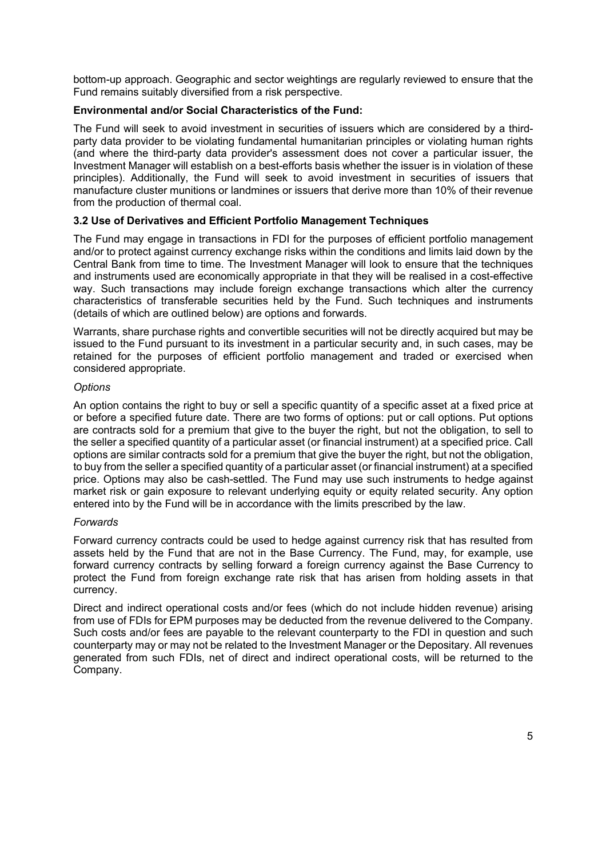bottom-up approach. Geographic and sector weightings are regularly reviewed to ensure that the Fund remains suitably diversified from a risk perspective.

### **Environmental and/or Social Characteristics of the Fund:**

The Fund will seek to avoid investment in securities of issuers which are considered by a thirdparty data provider to be violating fundamental humanitarian principles or violating human rights (and where the third-party data provider's assessment does not cover a particular issuer, the Investment Manager will establish on a best-efforts basis whether the issuer is in violation of these principles). Additionally, the Fund will seek to avoid investment in securities of issuers that manufacture cluster munitions or landmines or issuers that derive more than 10% of their revenue from the production of thermal coal.

### **3.2 Use of Derivatives and Efficient Portfolio Management Techniques**

The Fund may engage in transactions in FDI for the purposes of efficient portfolio management and/or to protect against currency exchange risks within the conditions and limits laid down by the Central Bank from time to time. The Investment Manager will look to ensure that the techniques and instruments used are economically appropriate in that they will be realised in a cost-effective way. Such transactions may include foreign exchange transactions which alter the currency characteristics of transferable securities held by the Fund. Such techniques and instruments (details of which are outlined below) are options and forwards.

Warrants, share purchase rights and convertible securities will not be directly acquired but may be issued to the Fund pursuant to its investment in a particular security and, in such cases, may be retained for the purposes of efficient portfolio management and traded or exercised when considered appropriate.

### *Options*

An option contains the right to buy or sell a specific quantity of a specific asset at a fixed price at or before a specified future date. There are two forms of options: put or call options. Put options are contracts sold for a premium that give to the buyer the right, but not the obligation, to sell to the seller a specified quantity of a particular asset (or financial instrument) at a specified price. Call options are similar contracts sold for a premium that give the buyer the right, but not the obligation, to buy from the seller a specified quantity of a particular asset (or financial instrument) at a specified price. Options may also be cash-settled. The Fund may use such instruments to hedge against market risk or gain exposure to relevant underlying equity or equity related security. Any option entered into by the Fund will be in accordance with the limits prescribed by the law.

### *Forwards*

Forward currency contracts could be used to hedge against currency risk that has resulted from assets held by the Fund that are not in the Base Currency. The Fund, may, for example, use forward currency contracts by selling forward a foreign currency against the Base Currency to protect the Fund from foreign exchange rate risk that has arisen from holding assets in that currency.

Direct and indirect operational costs and/or fees (which do not include hidden revenue) arising from use of FDIs for EPM purposes may be deducted from the revenue delivered to the Company. Such costs and/or fees are payable to the relevant counterparty to the FDI in question and such counterparty may or may not be related to the Investment Manager or the Depositary. All revenues generated from such FDIs, net of direct and indirect operational costs, will be returned to the Company.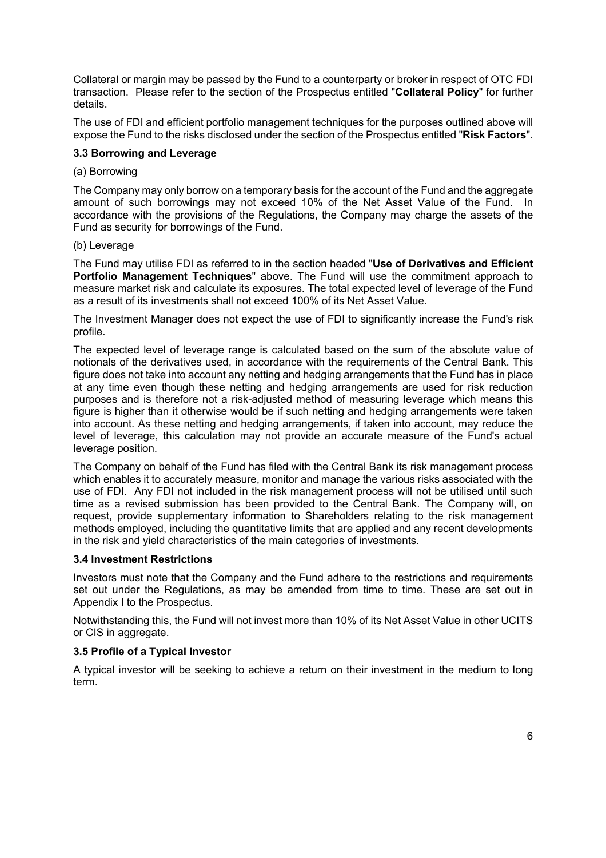Collateral or margin may be passed by the Fund to a counterparty or broker in respect of OTC FDI transaction. Please refer to the section of the Prospectus entitled "**Collateral Policy**" for further details.

The use of FDI and efficient portfolio management techniques for the purposes outlined above will expose the Fund to the risks disclosed under the section of the Prospectus entitled "**Risk Factors**".

### **3.3 Borrowing and Leverage**

### (a) Borrowing

The Company may only borrow on a temporary basis for the account of the Fund and the aggregate amount of such borrowings may not exceed 10% of the Net Asset Value of the Fund. In accordance with the provisions of the Regulations, the Company may charge the assets of the Fund as security for borrowings of the Fund.

### (b) Leverage

The Fund may utilise FDI as referred to in the section headed "**Use of Derivatives and Efficient Portfolio Management Techniques**" above. The Fund will use the commitment approach to measure market risk and calculate its exposures. The total expected level of leverage of the Fund as a result of its investments shall not exceed 100% of its Net Asset Value.

The Investment Manager does not expect the use of FDI to significantly increase the Fund's risk profile.

The expected level of leverage range is calculated based on the sum of the absolute value of notionals of the derivatives used, in accordance with the requirements of the Central Bank. This figure does not take into account any netting and hedging arrangements that the Fund has in place at any time even though these netting and hedging arrangements are used for risk reduction purposes and is therefore not a risk-adjusted method of measuring leverage which means this figure is higher than it otherwise would be if such netting and hedging arrangements were taken into account. As these netting and hedging arrangements, if taken into account, may reduce the level of leverage, this calculation may not provide an accurate measure of the Fund's actual leverage position.

The Company on behalf of the Fund has filed with the Central Bank its risk management process which enables it to accurately measure, monitor and manage the various risks associated with the use of FDI. Any FDI not included in the risk management process will not be utilised until such time as a revised submission has been provided to the Central Bank. The Company will, on request, provide supplementary information to Shareholders relating to the risk management methods employed, including the quantitative limits that are applied and any recent developments in the risk and yield characteristics of the main categories of investments.

### **3.4 Investment Restrictions**

Investors must note that the Company and the Fund adhere to the restrictions and requirements set out under the Regulations, as may be amended from time to time. These are set out in Appendix I to the Prospectus.

Notwithstanding this, the Fund will not invest more than 10% of its Net Asset Value in other UCITS or CIS in aggregate.

### **3.5 Profile of a Typical Investor**

A typical investor will be seeking to achieve a return on their investment in the medium to long term.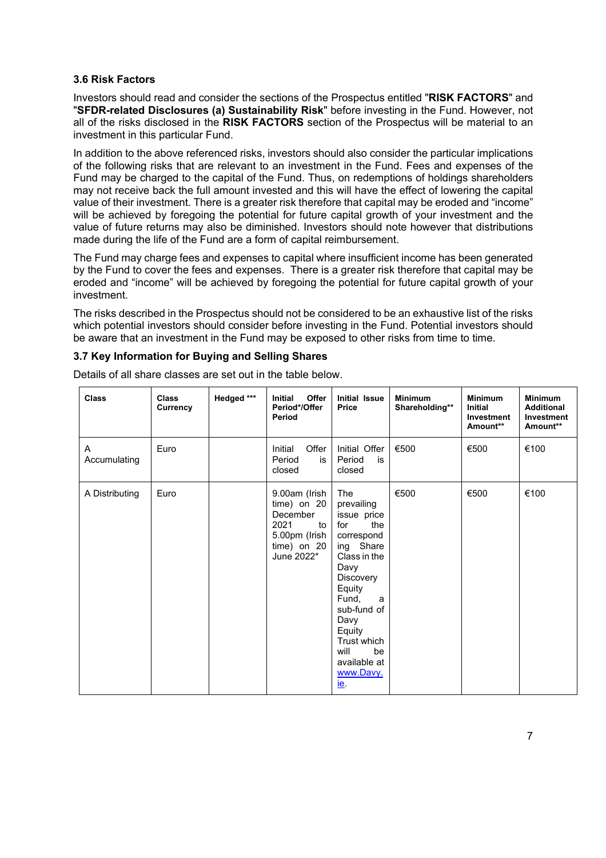### **3.6 Risk Factors**

Investors should read and consider the sections of the Prospectus entitled "**RISK FACTORS**" and "**SFDR-related Disclosures (a) Sustainability Risk**" before investing in the Fund. However, not all of the risks disclosed in the **RISK FACTORS** section of the Prospectus will be material to an investment in this particular Fund.

In addition to the above referenced risks, investors should also consider the particular implications of the following risks that are relevant to an investment in the Fund. Fees and expenses of the Fund may be charged to the capital of the Fund. Thus, on redemptions of holdings shareholders may not receive back the full amount invested and this will have the effect of lowering the capital value of their investment. There is a greater risk therefore that capital may be eroded and "income" will be achieved by foregoing the potential for future capital growth of your investment and the value of future returns may also be diminished. Investors should note however that distributions made during the life of the Fund are a form of capital reimbursement.

The Fund may charge fees and expenses to capital where insufficient income has been generated by the Fund to cover the fees and expenses. There is a greater risk therefore that capital may be eroded and "income" will be achieved by foregoing the potential for future capital growth of your investment.

The risks described in the Prospectus should not be considered to be an exhaustive list of the risks which potential investors should consider before investing in the Fund. Potential investors should be aware that an investment in the Fund may be exposed to other risks from time to time.

## **3.7 Key Information for Buying and Selling Shares**

| <b>Class</b>      | <b>Class</b><br>Currency | Hedged *** | Offer<br><b>Initial</b><br>Period*/Offer<br>Period                                                     | <b>Initial Issue</b><br><b>Price</b>                                                                                                                                                                                                                    | <b>Minimum</b><br>Shareholding** | <b>Minimum</b><br><b>Initial</b><br>Investment<br>Amount** | <b>Minimum</b><br><b>Additional</b><br>Investment<br>Amount** |
|-------------------|--------------------------|------------|--------------------------------------------------------------------------------------------------------|---------------------------------------------------------------------------------------------------------------------------------------------------------------------------------------------------------------------------------------------------------|----------------------------------|------------------------------------------------------------|---------------------------------------------------------------|
| A<br>Accumulating | Euro                     |            | Offer<br>Initial<br>Period<br>is<br>closed                                                             | Initial Offer<br>Period<br>is<br>closed                                                                                                                                                                                                                 | €500                             | €500                                                       | €100                                                          |
| A Distributing    | Euro                     |            | 9.00am (Irish<br>$time)$ on 20<br>December<br>2021<br>to<br>5.00pm (Irish<br>time) on 20<br>June 2022* | The<br>prevailing<br>issue price<br>the<br>for<br>correspond<br>ing Share<br>Class in the<br>Davy<br><b>Discovery</b><br>Equity<br>Fund,<br>a<br>sub-fund of<br>Davy<br>Equity<br>Trust which<br>will<br>be<br>available at<br>www.Davy.<br><u>ie</u> . | €500                             | €500                                                       | €100                                                          |

Details of all share classes are set out in the table below.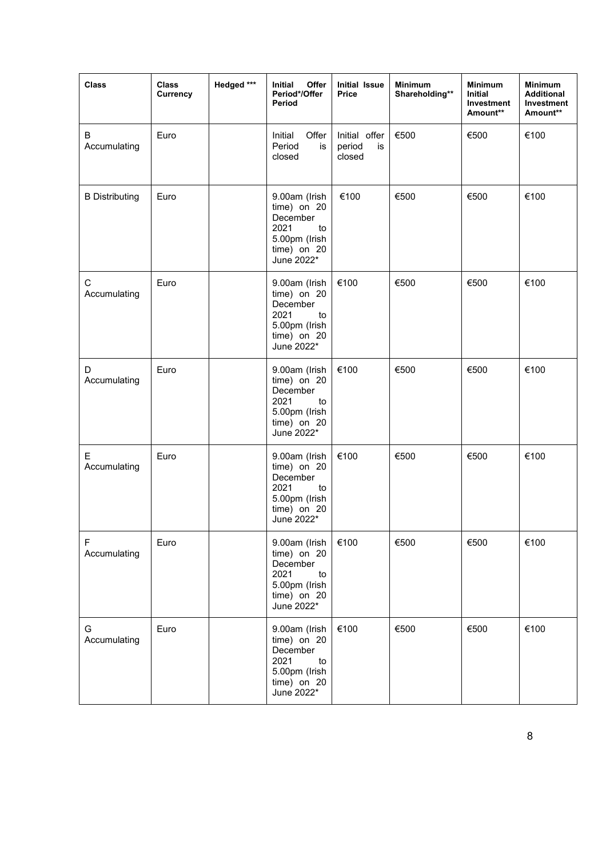| <b>Class</b>          | <b>Class</b><br>Currency | Hedged *** | Initial<br>Offer<br>Period*/Offer<br>Period                                                          | <b>Initial Issue</b><br><b>Price</b>    | <b>Minimum</b><br>Shareholding** | <b>Minimum</b><br>Initial<br>Investment<br>Amount** | <b>Minimum</b><br><b>Additional</b><br>Investment<br>Amount** |
|-----------------------|--------------------------|------------|------------------------------------------------------------------------------------------------------|-----------------------------------------|----------------------------------|-----------------------------------------------------|---------------------------------------------------------------|
| В<br>Accumulating     | Euro                     |            | Offer<br>Initial<br>Period<br>is<br>closed                                                           | Initial offer<br>period<br>is<br>closed | €500                             | €500                                                | €100                                                          |
| <b>B</b> Distributing | Euro                     |            | 9.00am (Irish<br>time) on 20<br>December<br>2021<br>to<br>5.00pm (Irish<br>time) on 20<br>June 2022* | €100                                    | €500                             | €500                                                | €100                                                          |
| С<br>Accumulating     | Euro                     |            | 9.00am (Irish<br>time) on 20<br>December<br>2021<br>to<br>5.00pm (Irish<br>time) on 20<br>June 2022* | €100                                    | €500                             | €500                                                | €100                                                          |
| D<br>Accumulating     | Euro                     |            | 9.00am (Irish<br>time) on 20<br>December<br>2021<br>to<br>5.00pm (Irish<br>time) on 20<br>June 2022* | €100                                    | €500                             | €500                                                | €100                                                          |
| Е<br>Accumulating     | Euro                     |            | 9.00am (Irish<br>time) on 20<br>December<br>2021<br>to<br>5.00pm (Irish<br>time) on 20<br>June 2022* | €100                                    | €500                             | €500                                                | €100                                                          |
| F<br>Accumulating     | Euro                     |            | 9.00am (Irish<br>time) on 20<br>December<br>2021<br>to<br>5.00pm (Irish<br>time) on 20<br>June 2022* | €100                                    | €500                             | €500                                                | €100                                                          |
| G<br>Accumulating     | Euro                     |            | 9.00am (Irish<br>time) on 20<br>December<br>2021<br>to<br>5.00pm (Irish<br>time) on 20<br>June 2022* | €100                                    | €500                             | €500                                                | €100                                                          |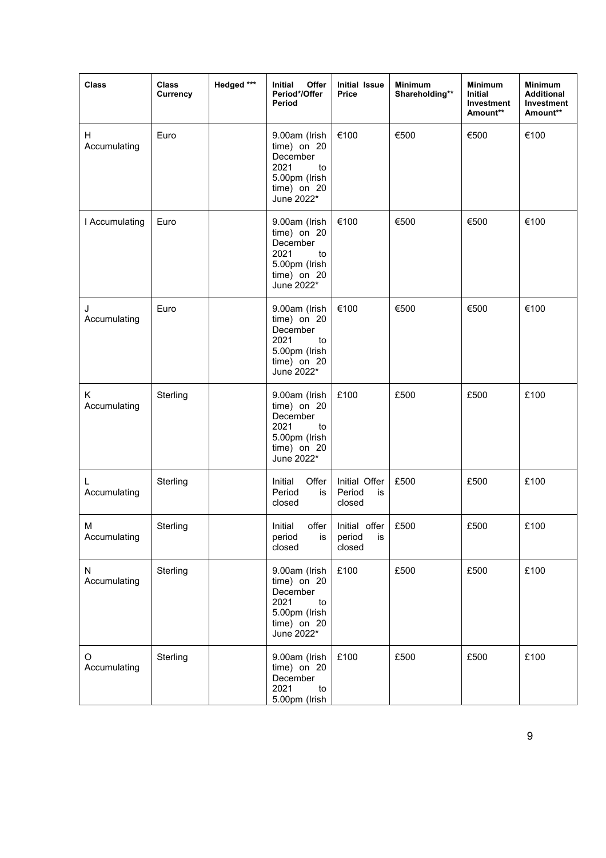| <b>Class</b>       | Class<br>Currency | Hedged *** | Initial<br>Offer<br>Period*/Offer<br>Period                                                            | <b>Initial Issue</b><br><b>Price</b>    | Minimum<br>Shareholding** | <b>Minimum</b><br><b>Initial</b><br>Investment<br>Amount** | <b>Minimum</b><br><b>Additional</b><br>Investment<br>Amount** |
|--------------------|-------------------|------------|--------------------------------------------------------------------------------------------------------|-----------------------------------------|---------------------------|------------------------------------------------------------|---------------------------------------------------------------|
| H.<br>Accumulating | Euro              |            | 9.00am (Irish<br>time) on 20<br>December<br>2021<br>to<br>5.00pm (Irish<br>time) on 20<br>June 2022*   | €100                                    | €500                      | €500                                                       | €100                                                          |
| I Accumulating     | Euro              |            | 9.00am (Irish<br>time) on 20<br>December<br>2021<br>to<br>5.00pm (Irish<br>$time)$ on 20<br>June 2022* | €100                                    | €500                      | €500                                                       | €100                                                          |
| J<br>Accumulating  | Euro              |            | 9.00am (Irish<br>time) on 20<br>December<br>2021<br>to<br>5.00pm (Irish<br>time) on 20<br>June 2022*   | €100                                    | €500                      | €500                                                       | €100                                                          |
| Κ<br>Accumulating  | Sterling          |            | 9.00am (Irish<br>time) on 20<br>December<br>2021<br>to<br>5.00pm (Irish<br>time) on 20<br>June 2022*   | £100                                    | £500                      | £500                                                       | £100                                                          |
| L<br>Accumulating  | Sterling          |            | Initial<br>Offer<br>Period<br>is<br>closed                                                             | Initial Offer<br>Period<br>is<br>closed | £500                      | £500                                                       | £100                                                          |
| М<br>Accumulating  | Sterling          |            | Initial<br>offer<br>period<br>is<br>closed                                                             | Initial offer<br>period<br>is<br>closed | £500                      | £500                                                       | £100                                                          |
| N<br>Accumulating  | Sterling          |            | 9.00am (Irish<br>time) on 20<br>December<br>2021<br>to<br>5.00pm (Irish<br>time) on 20<br>June 2022*   | £100                                    | £500                      | £500                                                       | £100                                                          |
| O<br>Accumulating  | Sterling          |            | 9.00am (Irish<br>time) on 20<br>December<br>2021<br>to<br>5.00pm (Irish                                | £100                                    | £500                      | £500                                                       | £100                                                          |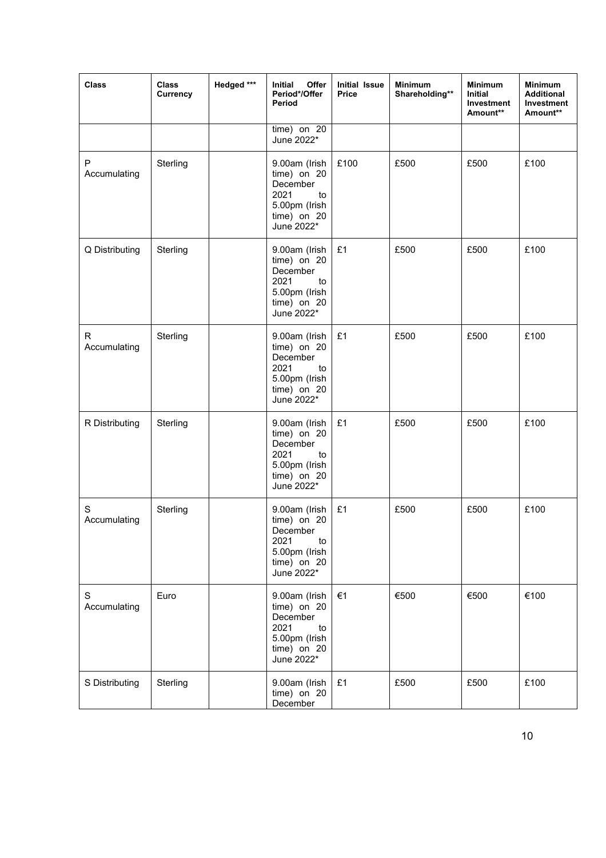| <b>Class</b>      | <b>Class</b><br>Currency | Hedged *** | Initial<br>Offer<br>Period*/Offer<br>Period                                                          | <b>Initial Issue</b><br><b>Price</b> | <b>Minimum</b><br>Shareholding** | <b>Minimum</b><br><b>Initial</b><br>Investment<br>Amount** | <b>Minimum</b><br><b>Additional</b><br>Investment<br>Amount** |
|-------------------|--------------------------|------------|------------------------------------------------------------------------------------------------------|--------------------------------------|----------------------------------|------------------------------------------------------------|---------------------------------------------------------------|
|                   |                          |            | time) on 20<br>June 2022*                                                                            |                                      |                                  |                                                            |                                                               |
| P<br>Accumulating | Sterling                 |            | 9.00am (Irish<br>time) on 20<br>December<br>2021<br>to<br>5.00pm (Irish<br>time) on 20<br>June 2022* | £100                                 | £500                             | £500                                                       | £100                                                          |
| Q Distributing    | Sterling                 |            | 9.00am (Irish<br>time) on 20<br>December<br>2021<br>to<br>5.00pm (Irish<br>time) on 20<br>June 2022* | £1                                   | £500                             | £500                                                       | £100                                                          |
| R<br>Accumulating | Sterling                 |            | 9.00am (Irish<br>time) on 20<br>December<br>2021<br>to<br>5.00pm (Irish<br>time) on 20<br>June 2022* | £1                                   | £500                             | £500                                                       | £100                                                          |
| R Distributing    | Sterling                 |            | 9.00am (Irish<br>time) on 20<br>December<br>2021<br>to<br>5.00pm (Irish<br>time) on 20<br>June 2022* | £1                                   | £500                             | £500                                                       | £100                                                          |
| S<br>Accumulating | Sterling                 |            | 9.00am (Irish<br>time) on 20<br>December<br>2021<br>to<br>5.00pm (Irish<br>time) on 20<br>June 2022* | £1                                   | £500                             | £500                                                       | £100                                                          |
| S<br>Accumulating | Euro                     |            | 9.00am (Irish<br>time) on 20<br>December<br>2021<br>to<br>5.00pm (Irish<br>time) on 20<br>June 2022* | €1                                   | €500                             | €500                                                       | €100                                                          |
| S Distributing    | Sterling                 |            | 9.00am (Irish<br>time) on 20<br>December                                                             | £1                                   | £500                             | £500                                                       | £100                                                          |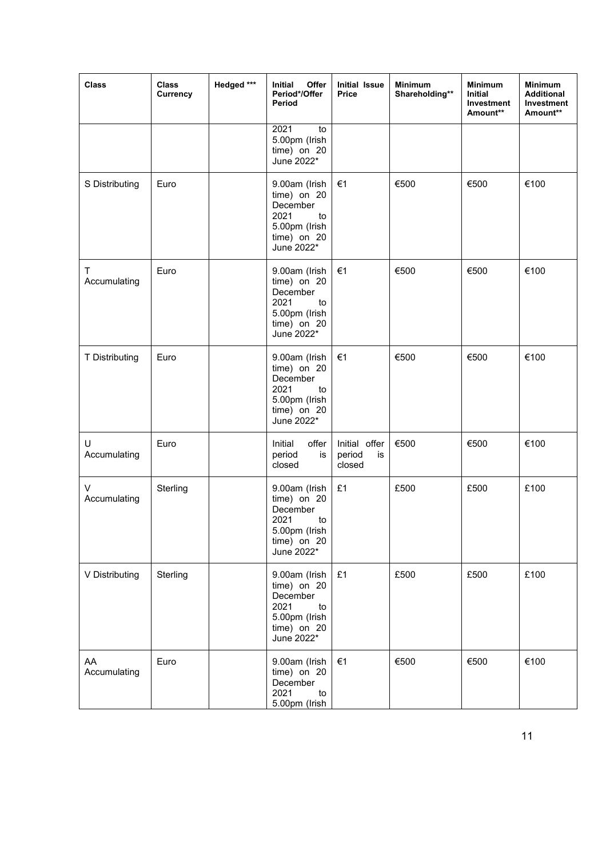| <b>Class</b>       | <b>Class</b><br>Currency | Hedged *** | Offer<br>Initial<br>Period*/Offer<br>Period                                                            | <b>Initial Issue</b><br>Price           | <b>Minimum</b><br>Shareholding** | <b>Minimum</b><br>Initial<br>Investment<br>Amount** | <b>Minimum</b><br><b>Additional</b><br>Investment<br>Amount** |
|--------------------|--------------------------|------------|--------------------------------------------------------------------------------------------------------|-----------------------------------------|----------------------------------|-----------------------------------------------------|---------------------------------------------------------------|
|                    |                          |            | 2021<br>to<br>5.00pm (Irish<br>time) on 20<br>June 2022*                                               |                                         |                                  |                                                     |                                                               |
| S Distributing     | Euro                     |            | 9.00am (Irish<br>time) on 20<br>December<br>2021<br>to<br>5.00pm (Irish<br>time) on 20<br>June 2022*   | €1                                      | €500                             | €500                                                | €100                                                          |
| Т<br>Accumulating  | Euro                     |            | 9.00am (Irish<br>time) on 20<br>December<br>2021<br>to<br>5.00pm (Irish<br>$time)$ on 20<br>June 2022* | €1                                      | €500                             | €500                                                | €100                                                          |
| T Distributing     | Euro                     |            | 9.00am (Irish<br>time) on 20<br>December<br>2021<br>to<br>5.00pm (Irish<br>time) on 20<br>June 2022*   | €1                                      | €500                             | €500                                                | €100                                                          |
| U<br>Accumulating  | Euro                     |            | Initial<br>offer<br>period<br>is<br>closed                                                             | Initial offer<br>period<br>is<br>closed | €500                             | €500                                                | €100                                                          |
| V<br>Accumulating  | Sterling                 |            | 9.00am (Irish<br>time) on 20<br>December<br>2021<br>to<br>5.00pm (Irish<br>time) on 20<br>June 2022*   | £1                                      | £500                             | £500                                                | £100                                                          |
| V Distributing     | Sterling                 |            | 9.00am (Irish<br>time) on 20<br>December<br>2021<br>to<br>5.00pm (Irish<br>time) on 20<br>June 2022*   | £1                                      | £500                             | £500                                                | £100                                                          |
| AA<br>Accumulating | Euro                     |            | 9.00am (Irish<br>time) on 20<br>December<br>2021<br>to<br>5.00pm (Irish                                | €1                                      | €500                             | €500                                                | €100                                                          |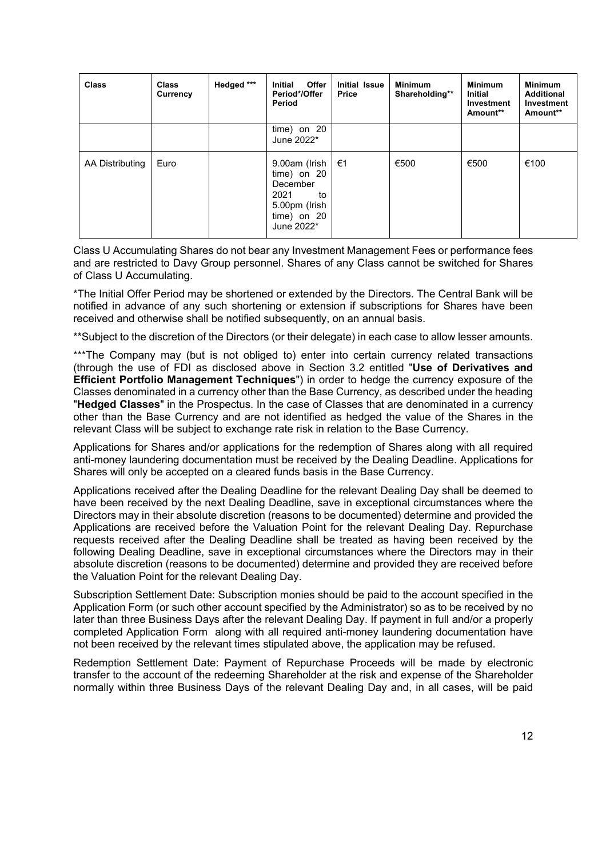| <b>Class</b>    | <b>Class</b><br>Currency | Hedged *** | Offer<br><b>Initial</b><br>Period*/Offer<br>Period                                                   | <b>Initial Issue</b><br><b>Price</b> | <b>Minimum</b><br>Shareholding** | <b>Minimum</b><br><b>Initial</b><br>Investment<br>Amount** | <b>Minimum</b><br><b>Additional</b><br>Investment<br>Amount** |
|-----------------|--------------------------|------------|------------------------------------------------------------------------------------------------------|--------------------------------------|----------------------------------|------------------------------------------------------------|---------------------------------------------------------------|
|                 |                          |            | time) on 20<br>June 2022*                                                                            |                                      |                                  |                                                            |                                                               |
| AA Distributing | Euro                     |            | 9.00am (Irish<br>time) on 20<br>December<br>2021<br>to<br>5.00pm (Irish<br>time) on 20<br>June 2022* | €1                                   | €500                             | €500                                                       | €100                                                          |

Class U Accumulating Shares do not bear any Investment Management Fees or performance fees and are restricted to Davy Group personnel. Shares of any Class cannot be switched for Shares of Class U Accumulating.

\*The Initial Offer Period may be shortened or extended by the Directors. The Central Bank will be notified in advance of any such shortening or extension if subscriptions for Shares have been received and otherwise shall be notified subsequently, on an annual basis.

\*\*Subject to the discretion of the Directors (or their delegate) in each case to allow lesser amounts.

\*\*\*The Company may (but is not obliged to) enter into certain currency related transactions (through the use of FDI as disclosed above in Section 3.2 entitled "**Use of Derivatives and Efficient Portfolio Management Techniques**") in order to hedge the currency exposure of the Classes denominated in a currency other than the Base Currency, as described under the heading "**Hedged Classes**" in the Prospectus. In the case of Classes that are denominated in a currency other than the Base Currency and are not identified as hedged the value of the Shares in the relevant Class will be subject to exchange rate risk in relation to the Base Currency.

Applications for Shares and/or applications for the redemption of Shares along with all required anti-money laundering documentation must be received by the Dealing Deadline. Applications for Shares will only be accepted on a cleared funds basis in the Base Currency.

Applications received after the Dealing Deadline for the relevant Dealing Day shall be deemed to have been received by the next Dealing Deadline, save in exceptional circumstances where the Directors may in their absolute discretion (reasons to be documented) determine and provided the Applications are received before the Valuation Point for the relevant Dealing Day. Repurchase requests received after the Dealing Deadline shall be treated as having been received by the following Dealing Deadline, save in exceptional circumstances where the Directors may in their absolute discretion (reasons to be documented) determine and provided they are received before the Valuation Point for the relevant Dealing Day.

Subscription Settlement Date: Subscription monies should be paid to the account specified in the Application Form (or such other account specified by the Administrator) so as to be received by no later than three Business Days after the relevant Dealing Day. If payment in full and/or a properly completed Application Form along with all required anti-money laundering documentation have not been received by the relevant times stipulated above, the application may be refused.

Redemption Settlement Date: Payment of Repurchase Proceeds will be made by electronic transfer to the account of the redeeming Shareholder at the risk and expense of the Shareholder normally within three Business Days of the relevant Dealing Day and, in all cases, will be paid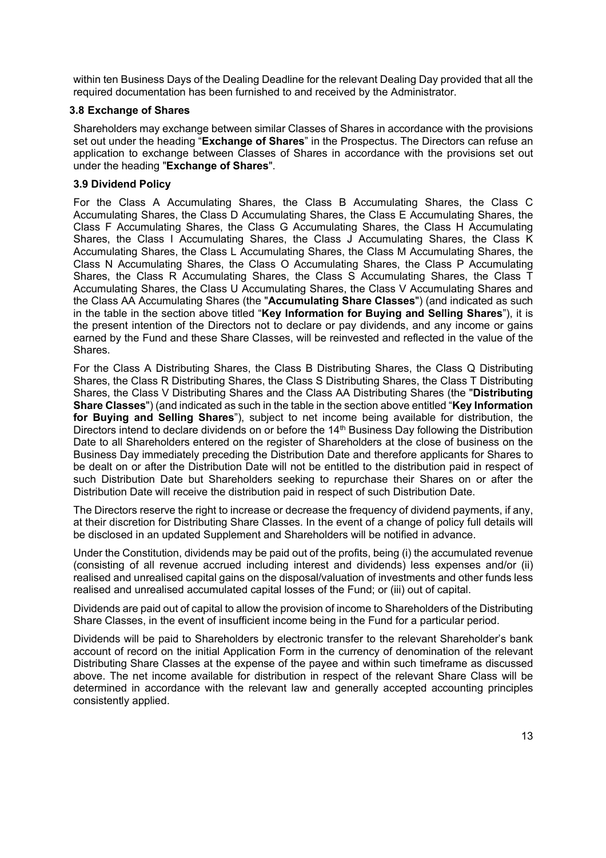within ten Business Days of the Dealing Deadline for the relevant Dealing Day provided that all the required documentation has been furnished to and received by the Administrator.

### **3.8 Exchange of Shares**

Shareholders may exchange between similar Classes of Shares in accordance with the provisions set out under the heading "**Exchange of Shares**" in the Prospectus. The Directors can refuse an application to exchange between Classes of Shares in accordance with the provisions set out under the heading "**Exchange of Shares**".

### **3.9 Dividend Policy**

For the Class A Accumulating Shares, the Class B Accumulating Shares, the Class C Accumulating Shares, the Class D Accumulating Shares, the Class E Accumulating Shares, the Class F Accumulating Shares, the Class G Accumulating Shares, the Class H Accumulating Shares, the Class I Accumulating Shares, the Class J Accumulating Shares, the Class K Accumulating Shares, the Class L Accumulating Shares, the Class M Accumulating Shares, the Class N Accumulating Shares, the Class O Accumulating Shares, the Class P Accumulating Shares, the Class R Accumulating Shares, the Class S Accumulating Shares, the Class T Accumulating Shares, the Class U Accumulating Shares, the Class V Accumulating Shares and the Class AA Accumulating Shares (the "**Accumulating Share Classes**") (and indicated as such in the table in the section above titled "**Key Information for Buying and Selling Shares**"), it is the present intention of the Directors not to declare or pay dividends, and any income or gains earned by the Fund and these Share Classes, will be reinvested and reflected in the value of the Shares.

For the Class A Distributing Shares, the Class B Distributing Shares, the Class Q Distributing Shares, the Class R Distributing Shares, the Class S Distributing Shares, the Class T Distributing Shares, the Class V Distributing Shares and the Class AA Distributing Shares (the "**Distributing Share Classes**") (and indicated as such in the table in the section above entitled "**Key Information for Buying and Selling Shares**"), subject to net income being available for distribution, the Directors intend to declare dividends on or before the 14<sup>th</sup> Business Day following the Distribution Date to all Shareholders entered on the register of Shareholders at the close of business on the Business Day immediately preceding the Distribution Date and therefore applicants for Shares to be dealt on or after the Distribution Date will not be entitled to the distribution paid in respect of such Distribution Date but Shareholders seeking to repurchase their Shares on or after the Distribution Date will receive the distribution paid in respect of such Distribution Date.

The Directors reserve the right to increase or decrease the frequency of dividend payments, if any, at their discretion for Distributing Share Classes. In the event of a change of policy full details will be disclosed in an updated Supplement and Shareholders will be notified in advance.

Under the Constitution, dividends may be paid out of the profits, being (i) the accumulated revenue (consisting of all revenue accrued including interest and dividends) less expenses and/or (ii) realised and unrealised capital gains on the disposal/valuation of investments and other funds less realised and unrealised accumulated capital losses of the Fund; or (iii) out of capital.

Dividends are paid out of capital to allow the provision of income to Shareholders of the Distributing Share Classes, in the event of insufficient income being in the Fund for a particular period.

Dividends will be paid to Shareholders by electronic transfer to the relevant Shareholder's bank account of record on the initial Application Form in the currency of denomination of the relevant Distributing Share Classes at the expense of the payee and within such timeframe as discussed above. The net income available for distribution in respect of the relevant Share Class will be determined in accordance with the relevant law and generally accepted accounting principles consistently applied.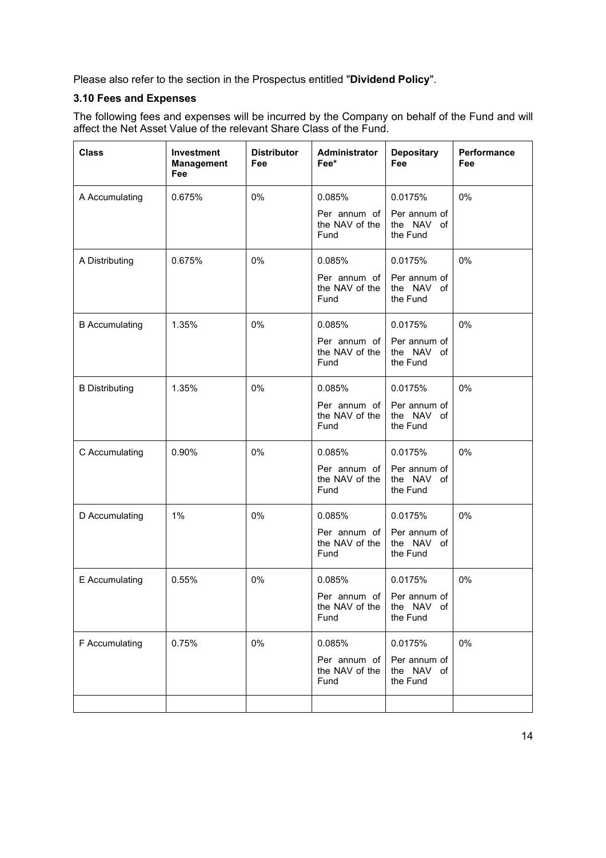Please also refer to the section in the Prospectus entitled "**Dividend Policy**".

### **3.10 Fees and Expenses**

The following fees and expenses will be incurred by the Company on behalf of the Fund and will affect the Net Asset Value of the relevant Share Class of the Fund.

| <b>Class</b>          | Investment<br><b>Management</b><br>Fee | <b>Distributor</b><br>Fee | Administrator<br>Fee*                               | <b>Depositary</b><br><b>Fee</b>        | Performance<br>Fee |
|-----------------------|----------------------------------------|---------------------------|-----------------------------------------------------|----------------------------------------|--------------------|
| A Accumulating        | 0.675%                                 | 0%                        | 0.085%                                              | 0.0175%                                | 0%                 |
|                       |                                        |                           | Per annum of<br>the NAV of the<br>Fund              | Per annum of<br>the NAV of<br>the Fund |                    |
| A Distributing        | 0.675%                                 | 0%                        | 0.085%                                              | 0.0175%                                | 0%                 |
|                       |                                        |                           | Per annum of<br>the NAV of the<br>Fund              | Per annum of<br>the NAV of<br>the Fund |                    |
| <b>B</b> Accumulating | 1.35%                                  | 0%                        | 0.085%                                              | 0.0175%                                | 0%                 |
|                       |                                        |                           | Per annum of<br>the NAV of the<br>Fund              | Per annum of<br>the NAV of<br>the Fund |                    |
| <b>B</b> Distributing | 1.35%                                  | 0%                        | 0.085%                                              | 0.0175%                                | 0%                 |
|                       |                                        |                           | Per annum of<br>the NAV of the<br>Fund              | Per annum of<br>the NAV of<br>the Fund |                    |
| C Accumulating        | 0.90%                                  | 0%                        | 0.085%                                              | 0.0175%                                | 0%                 |
|                       |                                        |                           | Per annum of<br>the NAV of the<br>Fund              | Per annum of<br>the NAV of<br>the Fund |                    |
| D Accumulating        | 1%                                     | 0%                        | 0.085%                                              | 0.0175%                                | 0%                 |
|                       |                                        |                           | Per annum of<br>the NAV of the<br>Fund              | Per annum of<br>the NAV of<br>the Fund |                    |
| E Accumulating        | 0.55%                                  | 0%                        | 0.085%                                              | 0.0175%                                | 0%                 |
|                       |                                        |                           | Per annum of Per annum of<br>the NAV of the<br>Fund | the NAV of<br>the Fund                 |                    |
| F Accumulating        | 0.75%                                  | 0%                        | 0.085%                                              | 0.0175%                                | 0%                 |
|                       |                                        |                           | Per annum of<br>the NAV of the<br>Fund              | Per annum of<br>the NAV of<br>the Fund |                    |
|                       |                                        |                           |                                                     |                                        |                    |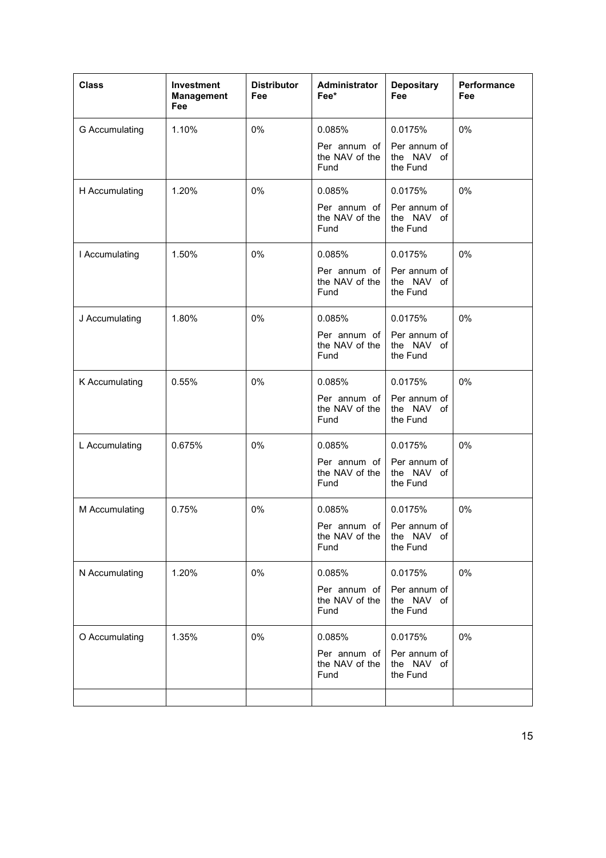| <b>Class</b>   | Investment<br><b>Management</b><br>Fee | <b>Distributor</b><br>Fee | <b>Administrator</b><br>Fee*                                  | <b>Depositary</b><br><b>Fee</b>                   | Performance<br>Fee |
|----------------|----------------------------------------|---------------------------|---------------------------------------------------------------|---------------------------------------------------|--------------------|
| G Accumulating | 1.10%                                  | 0%                        | 0.085%<br>Per annum of<br>the NAV of the<br>Fund              | 0.0175%<br>Per annum of<br>the NAV of<br>the Fund | 0%                 |
| H Accumulating | 1.20%                                  | 0%                        | 0.085%<br>Per annum of<br>the NAV of the<br>Fund              | 0.0175%<br>Per annum of<br>the NAV of<br>the Fund | 0%                 |
| I Accumulating | 1.50%                                  | 0%                        | 0.085%<br>Per annum of<br>the NAV of the<br>Fund              | 0.0175%<br>Per annum of<br>the NAV of<br>the Fund | 0%                 |
| J Accumulating | 1.80%                                  | 0%                        | 0.085%<br>Per annum of<br>the NAV of the<br>Fund              | 0.0175%<br>Per annum of<br>the NAV of<br>the Fund | 0%                 |
| K Accumulating | 0.55%                                  | 0%                        | 0.085%<br>Per annum of<br>the NAV of the<br>Fund              | 0.0175%<br>Per annum of<br>the NAV of<br>the Fund | 0%                 |
| L Accumulating | 0.675%                                 | 0%                        | 0.085%<br>Per annum of<br>the NAV of the<br>Fund              | 0.0175%<br>Per annum of<br>the NAV of<br>the Fund | 0%                 |
| M Accumulating | 0.75%                                  | 0%                        | 0.085%<br>Per annum of Per annum of<br>the NAV of the<br>Fund | 0.0175%<br>the NAV of<br>the Fund                 | 0%                 |
| N Accumulating | 1.20%                                  | 0%                        | 0.085%<br>Per annum of<br>the NAV of the<br>Fund              | 0.0175%<br>Per annum of<br>the NAV of<br>the Fund | 0%                 |
| O Accumulating | 1.35%                                  | 0%                        | 0.085%<br>Per annum of<br>the NAV of the<br>Fund              | 0.0175%<br>Per annum of<br>the NAV of<br>the Fund | 0%                 |
|                |                                        |                           |                                                               |                                                   |                    |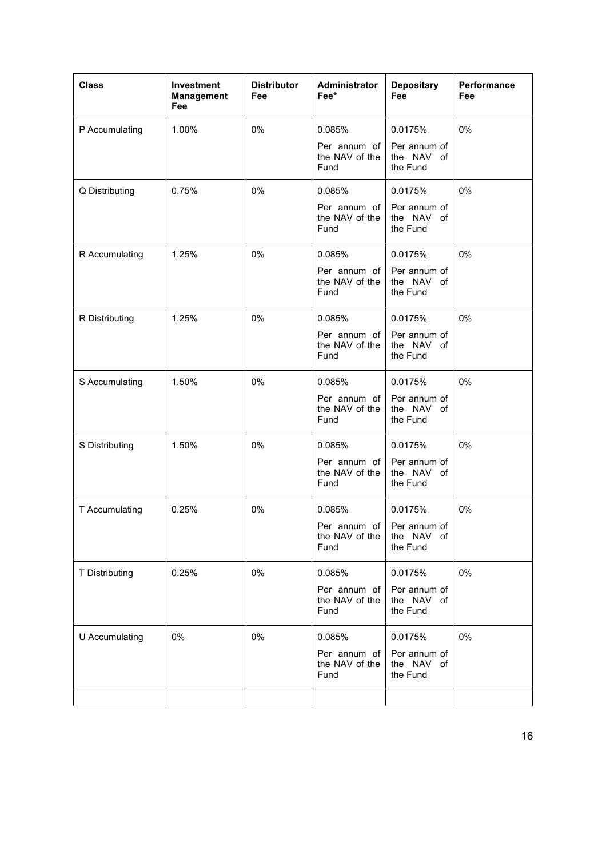| <b>Class</b>   | Investment<br><b>Management</b><br>Fee | <b>Distributor</b><br>Fee | <b>Administrator</b><br>Fee*                                  | <b>Depositary</b><br>Fee                          | Performance<br>Fee |
|----------------|----------------------------------------|---------------------------|---------------------------------------------------------------|---------------------------------------------------|--------------------|
| P Accumulating | 1.00%                                  | 0%                        | 0.085%<br>Per annum of<br>the NAV of the<br>Fund              | 0.0175%<br>Per annum of<br>the NAV of<br>the Fund | 0%                 |
| Q Distributing | 0.75%                                  | 0%                        | 0.085%<br>Per annum of<br>the NAV of the<br>Fund              | 0.0175%<br>Per annum of<br>the NAV of<br>the Fund | 0%                 |
| R Accumulating | 1.25%                                  | 0%                        | 0.085%<br>Per annum of<br>the NAV of the<br>Fund              | 0.0175%<br>Per annum of<br>the NAV of<br>the Fund | 0%                 |
| R Distributing | 1.25%                                  | 0%                        | 0.085%<br>Per annum of<br>the NAV of the<br>Fund              | 0.0175%<br>Per annum of<br>the NAV of<br>the Fund | 0%                 |
| S Accumulating | 1.50%                                  | $0\%$                     | 0.085%<br>Per annum of<br>the NAV of the<br>Fund              | 0.0175%<br>Per annum of<br>the NAV of<br>the Fund | 0%                 |
| S Distributing | 1.50%                                  | 0%                        | 0.085%<br>Per annum of<br>the NAV of the<br>Fund              | 0.0175%<br>Per annum of<br>the NAV of<br>the Fund | 0%                 |
| T Accumulating | 0.25%                                  | 0%                        | 0.085%<br>Per annum of Per annum of<br>the NAV of the<br>Fund | 0.0175%<br>the NAV of<br>the Fund                 | 0%                 |
| T Distributing | 0.25%                                  | 0%                        | 0.085%<br>Per annum of<br>the NAV of the<br>Fund              | 0.0175%<br>Per annum of<br>the NAV of<br>the Fund | 0%                 |
| U Accumulating | 0%                                     | 0%                        | 0.085%<br>Per annum of<br>the NAV of the<br>Fund              | 0.0175%<br>Per annum of<br>the NAV of<br>the Fund | 0%                 |
|                |                                        |                           |                                                               |                                                   |                    |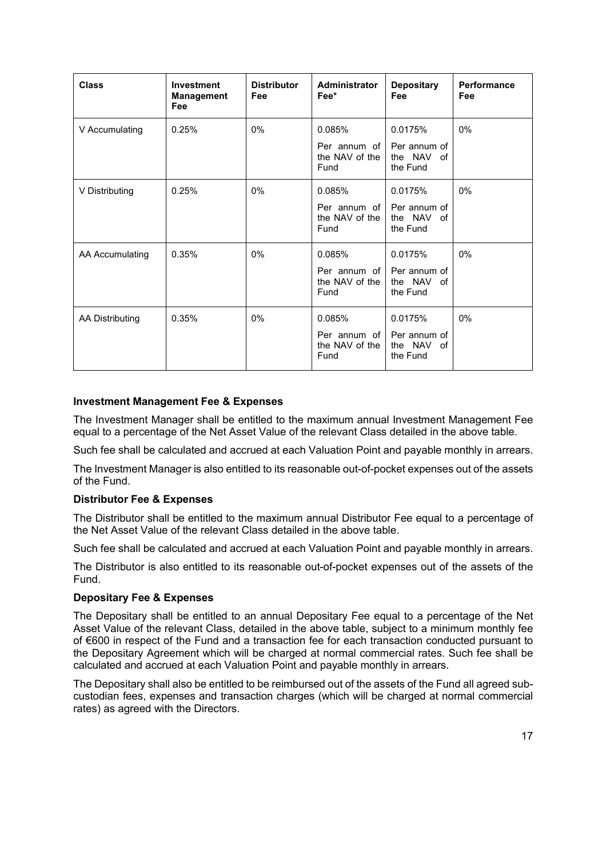| <b>Class</b>    | Investment<br><b>Management</b><br>Fee | <b>Distributor</b><br>Fee | Administrator<br>Fee*                            | <b>Depositary</b><br>Fee                          | <b>Performance</b><br>Fee |
|-----------------|----------------------------------------|---------------------------|--------------------------------------------------|---------------------------------------------------|---------------------------|
| V Accumulating  | 0.25%                                  | $0\%$                     | 0.085%<br>Per annum of<br>the NAV of the<br>Fund | 0.0175%<br>Per annum of<br>the NAV of<br>the Fund | 0%                        |
| V Distributing  | 0.25%                                  | $0\%$                     | 0.085%<br>Per annum of<br>the NAV of the<br>Fund | 0.0175%<br>Per annum of<br>the NAV of<br>the Fund | 0%                        |
| AA Accumulating | 0.35%                                  | $0\%$                     | 0.085%<br>Per annum of<br>the NAV of the<br>Fund | 0.0175%<br>Per annum of<br>the NAV of<br>the Fund | 0%                        |
| AA Distributing | 0.35%                                  | 0%                        | 0.085%<br>Per annum of<br>the NAV of the<br>Fund | 0.0175%<br>Per annum of<br>the NAV of<br>the Fund | 0%                        |

### **Investment Management Fee & Expenses**

The Investment Manager shall be entitled to the maximum annual Investment Management Fee equal to a percentage of the Net Asset Value of the relevant Class detailed in the above table.

Such fee shall be calculated and accrued at each Valuation Point and payable monthly in arrears.

The Investment Manager is also entitled to its reasonable out-of-pocket expenses out of the assets of the Fund.

### **Distributor Fee & Expenses**

The Distributor shall be entitled to the maximum annual Distributor Fee equal to a percentage of the Net Asset Value of the relevant Class detailed in the above table.

Such fee shall be calculated and accrued at each Valuation Point and payable monthly in arrears.

The Distributor is also entitled to its reasonable out-of-pocket expenses out of the assets of the Fund.

### **Depositary Fee & Expenses**

The Depositary shall be entitled to an annual Depositary Fee equal to a percentage of the Net Asset Value of the relevant Class, detailed in the above table, subject to a minimum monthly fee of €600 in respect of the Fund and a transaction fee for each transaction conducted pursuant to the Depositary Agreement which will be charged at normal commercial rates. Such fee shall be calculated and accrued at each Valuation Point and payable monthly in arrears.

The Depositary shall also be entitled to be reimbursed out of the assets of the Fund all agreed subcustodian fees, expenses and transaction charges (which will be charged at normal commercial rates) as agreed with the Directors.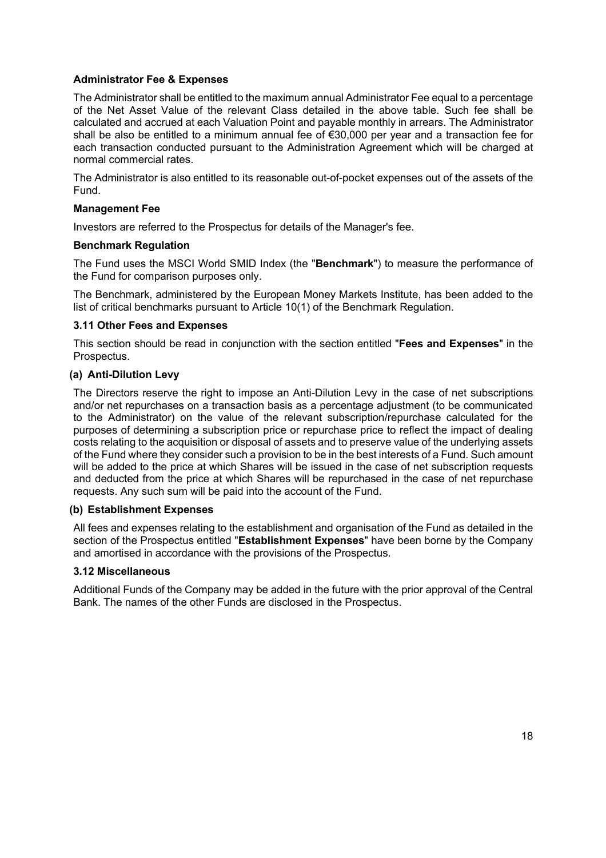### **Administrator Fee & Expenses**

The Administrator shall be entitled to the maximum annual Administrator Fee equal to a percentage of the Net Asset Value of the relevant Class detailed in the above table. Such fee shall be calculated and accrued at each Valuation Point and payable monthly in arrears. The Administrator shall be also be entitled to a minimum annual fee of €30,000 per year and a transaction fee for each transaction conducted pursuant to the Administration Agreement which will be charged at normal commercial rates.

The Administrator is also entitled to its reasonable out-of-pocket expenses out of the assets of the Fund.

### **Management Fee**

Investors are referred to the Prospectus for details of the Manager's fee.

### **Benchmark Regulation**

The Fund uses the MSCI World SMID Index (the "**Benchmark**") to measure the performance of the Fund for comparison purposes only.

The Benchmark, administered by the European Money Markets Institute, has been added to the list of critical benchmarks pursuant to Article 10(1) of the Benchmark Regulation.

### **3.11 Other Fees and Expenses**

This section should be read in conjunction with the section entitled "**Fees and Expenses**" in the Prospectus.

### **(a) Anti-Dilution Levy**

The Directors reserve the right to impose an Anti-Dilution Levy in the case of net subscriptions and/or net repurchases on a transaction basis as a percentage adjustment (to be communicated to the Administrator) on the value of the relevant subscription/repurchase calculated for the purposes of determining a subscription price or repurchase price to reflect the impact of dealing costs relating to the acquisition or disposal of assets and to preserve value of the underlying assets of the Fund where they consider such a provision to be in the best interests of a Fund. Such amount will be added to the price at which Shares will be issued in the case of net subscription requests and deducted from the price at which Shares will be repurchased in the case of net repurchase requests. Any such sum will be paid into the account of the Fund.

### **(b) Establishment Expenses**

All fees and expenses relating to the establishment and organisation of the Fund as detailed in the section of the Prospectus entitled "**Establishment Expenses**" have been borne by the Company and amortised in accordance with the provisions of the Prospectus.

### **3.12 Miscellaneous**

Additional Funds of the Company may be added in the future with the prior approval of the Central Bank. The names of the other Funds are disclosed in the Prospectus.